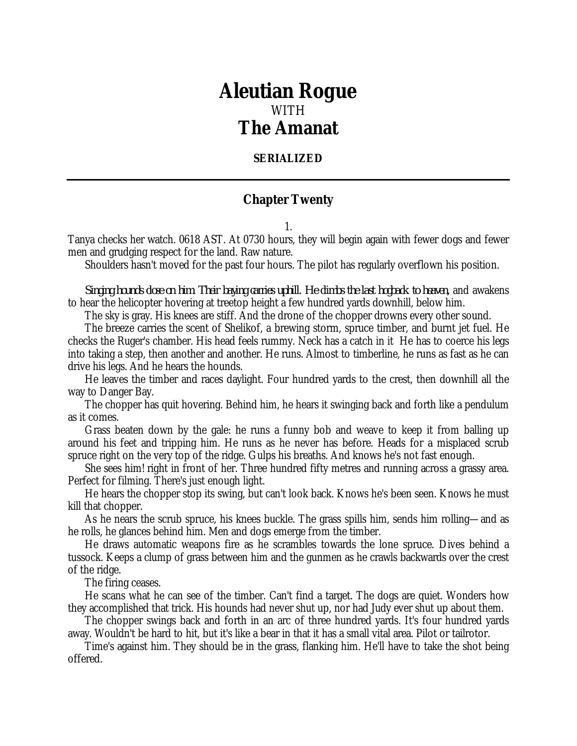## *Aleutian Rogue* WITH *The Amanat*

## **SERIALIZED**

## **Chapter Twenty**

1.

Tanya checks her watch. 0618 AST. At 0730 hours, they will begin again with fewer dogs and fewer men and grudging respect for the land. Raw nature.

Shoulders hasn't moved for the past four hours. The pilot has regularly overflown his position.

*Singing hounds close on him. Their baying carries uphill. He climbs the last hogback to heaven,* and awakens to hear the helicopter hovering at treetop height a few hundred yards downhill, below him.

The sky is gray. His knees are stiff. And the drone of the chopper drowns every other sound.

The breeze carries the scent of Shelikof, a brewing storm, spruce timber, and burnt jet fuel. He checks the Ruger's chamber. His head feels rummy. Neck has a catch in it He has to coerce his legs into taking a step, then another and another. He runs. Almost to timberline, he runs as fast as he can drive his legs. And he hears the hounds.

He leaves the timber and races daylight. Four hundred yards to the crest, then downhill all the way to Danger Bay.

The chopper has quit hovering. Behind him, he hears it swinging back and forth like a pendulum as it comes.

Grass beaten down by the gale: he runs a funny bob and weave to keep it from balling up around his feet and tripping him. He runs as he never has before. Heads for a misplaced scrub spruce right on the very top of the ridge. Gulps his breaths. And knows he's not fast enough.

She sees him! right in front of her. Three hundred fifty metres and running across a grassy area. Perfect for filming. There's just enough light.

He hears the chopper stop its swing, but can't look back. Knows he's been seen. Knows he must kill that chopper.

As he nears the scrub spruce, his knees buckle. The grass spills him, sends him rolling—and as he rolls, he glances behind him. Men and dogs emerge from the timber.

He draws automatic weapons fire as he scrambles towards the lone spruce. Dives behind a tussock. Keeps a clump of grass between him and the gunmen as he crawls backwards over the crest of the ridge.

The firing ceases.

He scans what he can see of the timber. Can't find a target. The dogs are quiet. Wonders how they accomplished that trick. His hounds had never shut up, nor had Judy ever shut up about them.

The chopper swings back and forth in an arc of three hundred yards. It's four hundred yards away. Wouldn't be hard to hit, but it's like a bear in that it has a small vital area. Pilot or tailrotor.

Time's against him. They should be in the grass, flanking him. He'll have to take the shot being offered.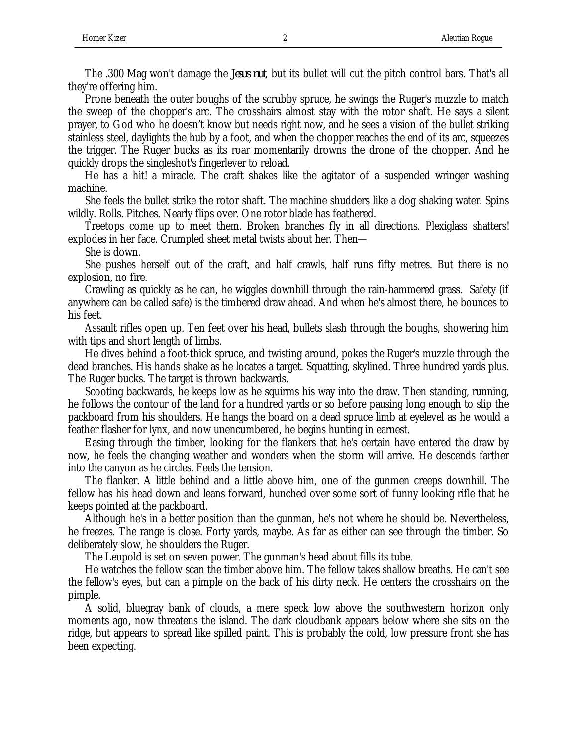The .300 Mag won't damage the *Jesus nut*, but its bullet will cut the pitch control bars. That's all they're offering him.

Prone beneath the outer boughs of the scrubby spruce, he swings the Ruger's muzzle to match the sweep of the chopper's arc. The crosshairs almost stay with the rotor shaft. He says a silent prayer, to God who he doesn't know but needs right now, and he sees a vision of the bullet striking stainless steel, daylights the hub by a foot, and when the chopper reaches the end of its arc, squeezes the trigger. The Ruger bucks as its roar momentarily drowns the drone of the chopper. And he quickly drops the singleshot's fingerlever to reload.

He has a hit! a miracle. The craft shakes like the agitator of a suspended wringer washing machine.

She feels the bullet strike the rotor shaft. The machine shudders like a dog shaking water. Spins wildly. Rolls. Pitches. Nearly flips over. One rotor blade has feathered.

Treetops come up to meet them. Broken branches fly in all directions. Plexiglass shatters! explodes in her face. Crumpled sheet metal twists about her. Then—

She is down.

She pushes herself out of the craft, and half crawls, half runs fifty metres. But there is no explosion, no fire.

Crawling as quickly as he can, he wiggles downhill through the rain-hammered grass. Safety (if anywhere can be called safe) is the timbered draw ahead. And when he's almost there, he bounces to his feet.

Assault rifles open up. Ten feet over his head, bullets slash through the boughs, showering him with tips and short length of limbs.

He dives behind a foot-thick spruce, and twisting around, pokes the Ruger's muzzle through the dead branches. His hands shake as he locates a target. Squatting, skylined. Three hundred yards plus. The Ruger bucks. The target is thrown backwards.

Scooting backwards, he keeps low as he squirms his way into the draw. Then standing, running, he follows the contour of the land for a hundred yards or so before pausing long enough to slip the packboard from his shoulders. He hangs the board on a dead spruce limb at eyelevel as he would a feather flasher for lynx, and now unencumbered, he begins hunting in earnest.

Easing through the timber, looking for the flankers that he's certain have entered the draw by now, he feels the changing weather and wonders when the storm will arrive. He descends farther into the canyon as he circles. Feels the tension.

The flanker. A little behind and a little above him, one of the gunmen creeps downhill. The fellow has his head down and leans forward, hunched over some sort of funny looking rifle that he keeps pointed at the packboard.

Although he's in a better position than the gunman, he's not where he should be. Nevertheless, he freezes. The range is close. Forty yards, maybe. As far as either can see through the timber. So deliberately slow, he shoulders the Ruger.

The Leupold is set on seven power. The gunman's head about fills its tube.

He watches the fellow scan the timber above him. The fellow takes shallow breaths. He can't see the fellow's eyes, but can a pimple on the back of his dirty neck. He centers the crosshairs on the pimple.

A solid, bluegray bank of clouds, a mere speck low above the southwestern horizon only moments ago, now threatens the island. The dark cloudbank appears below where she sits on the ridge, but appears to spread like spilled paint. This is probably the cold, low pressure front she has been expecting.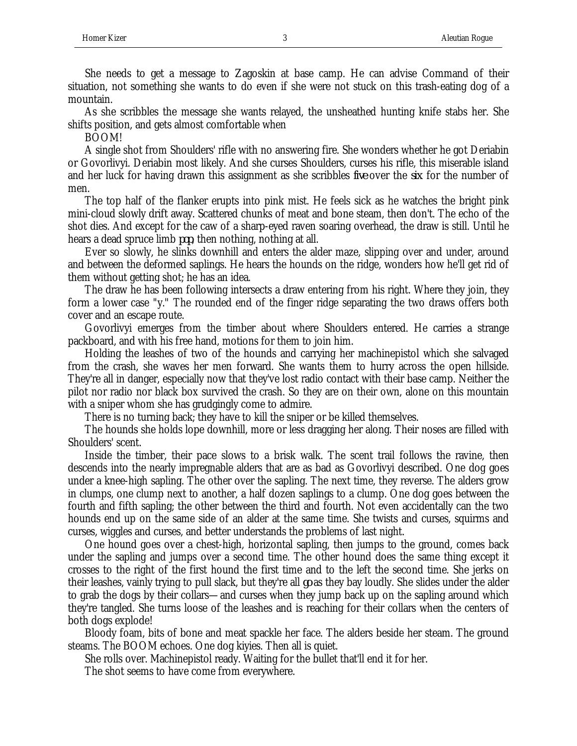She needs to get a message to Zagoskin at base camp. He can advise Command of their situation, not something she wants to do even if she were not stuck on this trash-eating dog of a mountain.

As she scribbles the message she wants relayed, the unsheathed hunting knife stabs her. She shifts position, and gets almost comfortable when

BOOM!

A single shot from Shoulders' rifle with no answering fire. She wonders whether he got Deriabin or Govorlivyi. Deriabin most likely. And she curses Shoulders, curses his rifle, this miserable island and her luck for having drawn this assignment as she scribbles *five* over the *six* for the number of men.

The top half of the flanker erupts into pink mist. He feels sick as he watches the bright pink mini-cloud slowly drift away. Scattered chunks of meat and bone steam, then don't. The echo of the shot dies. And except for the caw of a sharp-eyed raven soaring overhead, the draw is still. Until he hears a dead spruce limb *pop*, then nothing, nothing at all.

Ever so slowly, he slinks downhill and enters the alder maze, slipping over and under, around and between the deformed saplings. He hears the hounds on the ridge, wonders how he'll get rid of them without getting shot; he has an idea.

The draw he has been following intersects a draw entering from his right. Where they join, they form a lower case "y." The rounded end of the finger ridge separating the two draws offers both cover and an escape route.

Govorlivyi emerges from the timber about where Shoulders entered. He carries a strange packboard, and with his free hand, motions for them to join him.

Holding the leashes of two of the hounds and carrying her machinepistol which she salvaged from the crash, she waves her men forward. She wants them to hurry across the open hillside. They're all in danger, especially now that they've lost radio contact with their base camp. Neither the pilot nor radio nor black box survived the crash. So they are on their own, alone on this mountain with a sniper whom she has grudgingly come to admire.

There is no turning back; they have to kill the sniper or be killed themselves.

The hounds she holds lope downhill, more or less dragging her along. Their noses are filled with Shoulders' scent.

Inside the timber, their pace slows to a brisk walk. The scent trail follows the ravine, then descends into the nearly impregnable alders that are as bad as Govorlivyi described. One dog goes under a knee-high sapling. The other over the sapling. The next time, they reverse. The alders grow in clumps, one clump next to another, a half dozen saplings to a clump. One dog goes between the fourth and fifth sapling; the other between the third and fourth. Not even accidentally can the two hounds end up on the same side of an alder at the same time. She twists and curses, squirms and curses, wiggles and curses, and better understands the problems of last night.

One hound goes over a chest-high, horizontal sapling, then jumps to the ground, comes back under the sapling and jumps over a second time. The other hound does the same thing except it crosses to the right of the first hound the first time and to the left the second time. She jerks on their leashes, vainly trying to pull slack, but they're all *go* as they bay loudly. She slides under the alder to grab the dogs by their collars—and curses when they jump back up on the sapling around which they're tangled. She turns loose of the leashes and is reaching for their collars when the centers of both dogs explode!

Bloody foam, bits of bone and meat spackle her face. The alders beside her steam. The ground steams. The BOOM echoes. One dog kiyies. Then all is quiet.

She rolls over. Machinepistol ready. Waiting for the bullet that'll end it for her.

The shot seems to have come from everywhere.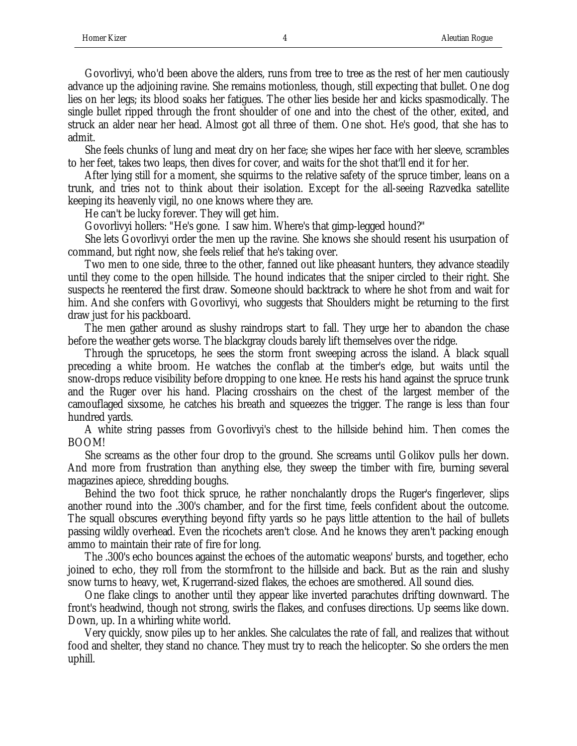Govorlivyi, who'd been above the alders, runs from tree to tree as the rest of her men cautiously advance up the adjoining ravine. She remains motionless, though, still expecting that bullet. One dog lies on her legs; its blood soaks her fatigues. The other lies beside her and kicks spasmodically. The single bullet ripped through the front shoulder of one and into the chest of the other, exited, and struck an alder near her head. Almost got all three of them. One shot. He's good, that she has to admit.

She feels chunks of lung and meat dry on her face; she wipes her face with her sleeve, scrambles to her feet, takes two leaps, then dives for cover, and waits for the shot that'll end it for her.

After lying still for a moment, she squirms to the relative safety of the spruce timber, leans on a trunk, and tries not to think about their isolation. Except for the all-seeing Razvedka satellite keeping its heavenly vigil, no one knows where they are.

He can't be lucky forever. They will get him.

Govorlivyi hollers: "He's gone. I saw him. Where's that gimp-legged hound?"

She lets Govorlivyi order the men up the ravine. She knows she should resent his usurpation of command, but right now, she feels relief that he's taking over.

Two men to one side, three to the other, fanned out like pheasant hunters, they advance steadily until they come to the open hillside. The hound indicates that the sniper circled to their right. She suspects he reentered the first draw. Someone should backtrack to where he shot from and wait for him. And she confers with Govorlivyi, who suggests that Shoulders might be returning to the first draw just for his packboard.

The men gather around as slushy raindrops start to fall. They urge her to abandon the chase before the weather gets worse. The blackgray clouds barely lift themselves over the ridge.

Through the sprucetops, he sees the storm front sweeping across the island. A black squall preceding a white broom. He watches the conflab at the timber's edge, but waits until the snow-drops reduce visibility before dropping to one knee. He rests his hand against the spruce trunk and the Ruger over his hand. Placing crosshairs on the chest of the largest member of the camouflaged sixsome, he catches his breath and squeezes the trigger. The range is less than four hundred yards.

A white string passes from Govorlivyi's chest to the hillside behind him. Then comes the BOOM!

She screams as the other four drop to the ground. She screams until Golikov pulls her down. And more from frustration than anything else, they sweep the timber with fire, burning several magazines apiece, shredding boughs.

Behind the two foot thick spruce, he rather nonchalantly drops the Ruger's fingerlever, slips another round into the .300's chamber, and for the first time, feels confident about the outcome. The squall obscures everything beyond fifty yards so he pays little attention to the hail of bullets passing wildly overhead. Even the ricochets aren't close. And he knows they aren't packing enough ammo to maintain their rate of fire for long.

The .300's echo bounces against the echoes of the automatic weapons' bursts, and together, echo joined to echo, they roll from the stormfront to the hillside and back. But as the rain and slushy snow turns to heavy, wet, Krugerrand-sized flakes, the echoes are smothered. All sound dies.

One flake clings to another until they appear like inverted parachutes drifting downward. The front's headwind, though not strong, swirls the flakes, and confuses directions. Up seems like down. Down, up. In a whirling white world.

Very quickly, snow piles up to her ankles. She calculates the rate of fall, and realizes that without food and shelter, they stand no chance. They must try to reach the helicopter. So she orders the men uphill.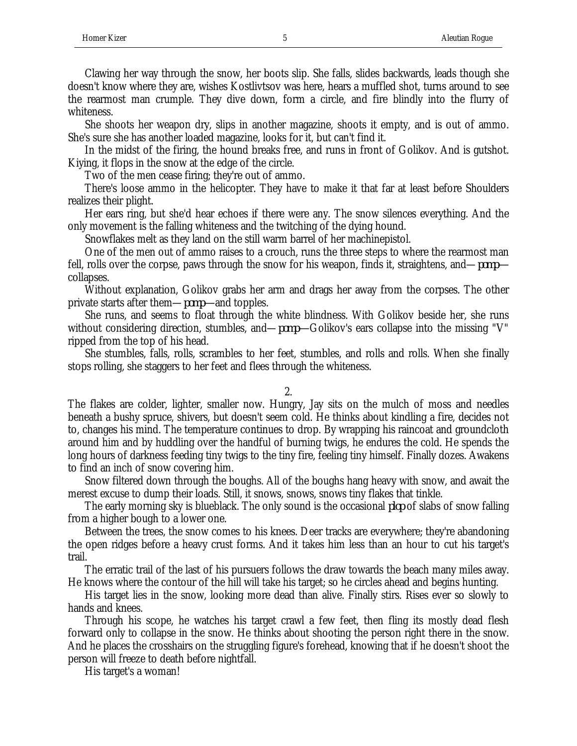Clawing her way through the snow, her boots slip. She falls, slides backwards, leads though she doesn't know where they are, wishes Kostlivtsov was here, hears a muffled shot, turns around to see the rearmost man crumple. They dive down, form a circle, and fire blindly into the flurry of whiteness.

She shoots her weapon dry, slips in another magazine, shoots it empty, and is out of ammo. She's sure she has another loaded magazine, looks for it, but can't find it.

In the midst of the firing, the hound breaks free, and runs in front of Golikov. And is gutshot. Kiying, it flops in the snow at the edge of the circle.

Two of the men cease firing; they're out of ammo.

There's loose ammo in the helicopter. They have to make it that far at least before Shoulders realizes their plight.

Her ears ring, but she'd hear echoes if there were any. The snow silences everything. And the only movement is the falling whiteness and the twitching of the dying hound.

Snowflakes melt as they land on the still warm barrel of her machinepistol.

One of the men out of ammo raises to a crouch, runs the three steps to where the rearmost man fell, rolls over the corpse, paws through the snow for his weapon, finds it, straightens, and—*pomp* collapses.

Without explanation, Golikov grabs her arm and drags her away from the corpses. The other private starts after them—*pomp—*and topples.

She runs, and seems to float through the white blindness. With Golikov beside her, she runs without considering direction, stumbles, and—*pomp—*Golikov's ears collapse into the missing "V" ripped from the top of his head.

She stumbles, falls, rolls, scrambles to her feet, stumbles, and rolls and rolls. When she finally stops rolling, she staggers to her feet and flees through the whiteness.

## 2.

The flakes are colder, lighter, smaller now. Hungry, Jay sits on the mulch of moss and needles beneath a bushy spruce, shivers, but doesn't seem cold. He thinks about kindling a fire, decides not to, changes his mind. The temperature continues to drop. By wrapping his raincoat and groundcloth around him and by huddling over the handful of burning twigs, he endures the cold. He spends the long hours of darkness feeding tiny twigs to the tiny fire, feeling tiny himself. Finally dozes. Awakens to find an inch of snow covering him.

Snow filtered down through the boughs. All of the boughs hang heavy with snow, and await the merest excuse to dump their loads. Still, it snows, snows, snows tiny flakes that tinkle.

The early morning sky is blueblack. The only sound is the occasional *plop* of slabs of snow falling from a higher bough to a lower one.

Between the trees, the snow comes to his knees. Deer tracks are everywhere; they're abandoning the open ridges before a heavy crust forms. And it takes him less than an hour to cut his target's trail.

The erratic trail of the last of his pursuers follows the draw towards the beach many miles away. He knows where the contour of the hill will take his target; so he circles ahead and begins hunting.

His target lies in the snow, looking more dead than alive. Finally stirs. Rises ever so slowly to hands and knees.

Through his scope, he watches his target crawl a few feet, then fling its mostly dead flesh forward only to collapse in the snow. He thinks about shooting the person right there in the snow. And he places the crosshairs on the struggling figure's forehead, knowing that if he doesn't shoot the person will freeze to death before nightfall.

His target's a woman!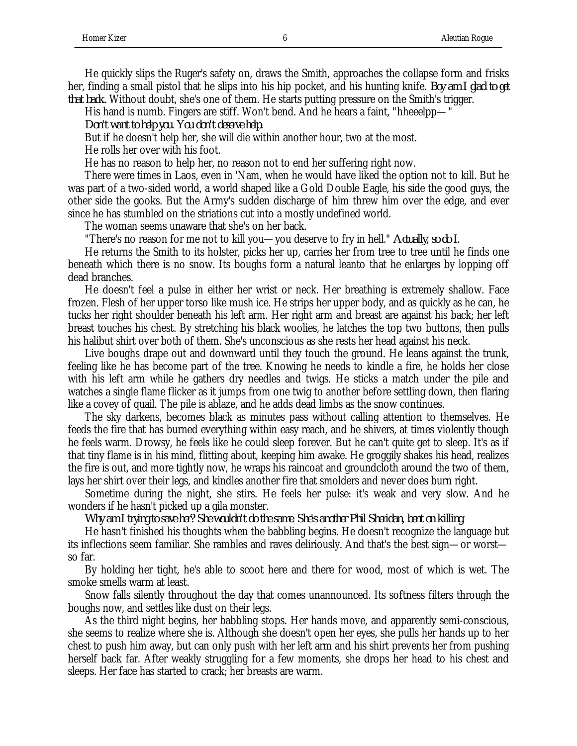He quickly slips the Ruger's safety on, draws the Smith, approaches the collapse form and frisks her, finding a small pistol that he slips into his hip pocket, and his hunting knife. *Boy am I glad to get that back.* Without doubt, she's one of them. He starts putting pressure on the Smith's trigger.

His hand is numb. Fingers are stiff. Won't bend. And he hears a faint, "hheeelpp—"

*Don't want to help you. You don't deserve help.*

But if he doesn't help her, she will die within another hour, two at the most.

He rolls her over with his foot.

He has no reason to help her, no reason not to end her suffering right now.

There were times in Laos, even in 'Nam, when he would have liked the option not to kill. But he was part of a two-sided world, a world shaped like a Gold Double Eagle, his side the good guys, the other side the gooks. But the Army's sudden discharge of him threw him over the edge, and ever since he has stumbled on the striations cut into a mostly undefined world.

The woman seems unaware that she's on her back.

"There's no reason for me not to kill you—you deserve to fry in hell." *Actually, so do I.*

He returns the Smith to its holster, picks her up, carries her from tree to tree until he finds one beneath which there is no snow. Its boughs form a natural leanto that he enlarges by lopping off dead branches.

He doesn't feel a pulse in either her wrist or neck. Her breathing is extremely shallow. Face frozen. Flesh of her upper torso like mush ice. He strips her upper body, and as quickly as he can, he tucks her right shoulder beneath his left arm. Her right arm and breast are against his back; her left breast touches his chest. By stretching his black woolies, he latches the top two buttons, then pulls his halibut shirt over both of them. She's unconscious as she rests her head against his neck.

Live boughs drape out and downward until they touch the ground. He leans against the trunk, feeling like he has become part of the tree. Knowing he needs to kindle a fire, he holds her close with his left arm while he gathers dry needles and twigs. He sticks a match under the pile and watches a single flame flicker as it jumps from one twig to another before settling down, then flaring like a covey of quail. The pile is ablaze, and he adds dead limbs as the snow continues.

The sky darkens, becomes black as minutes pass without calling attention to themselves. He feeds the fire that has burned everything within easy reach, and he shivers, at times violently though he feels warm. Drowsy, he feels like he could sleep forever. But he can't quite get to sleep. It's as if that tiny flame is in his mind, flitting about, keeping him awake. He groggily shakes his head, realizes the fire is out, and more tightly now, he wraps his raincoat and groundcloth around the two of them, lays her shirt over their legs, and kindles another fire that smolders and never does burn right.

Sometime during the night, she stirs. He feels her pulse: it's weak and very slow. And he wonders if he hasn't picked up a gila monster.

*Why am I trying to save her? She wouldn't do the same. She's another Phil Sheridan, bent on killing.*

He hasn't finished his thoughts when the babbling begins. He doesn't recognize the language but its inflections seem familiar. She rambles and raves deliriously. And that's the best sign—or worst so far.

By holding her tight, he's able to scoot here and there for wood, most of which is wet. The smoke smells warm at least.

Snow falls silently throughout the day that comes unannounced. Its softness filters through the boughs now, and settles like dust on their legs.

As the third night begins, her babbling stops. Her hands move, and apparently semi-conscious, she seems to realize where she is. Although she doesn't open her eyes, she pulls her hands up to her chest to push him away, but can only push with her left arm and his shirt prevents her from pushing herself back far. After weakly struggling for a few moments, she drops her head to his chest and sleeps. Her face has started to crack; her breasts are warm.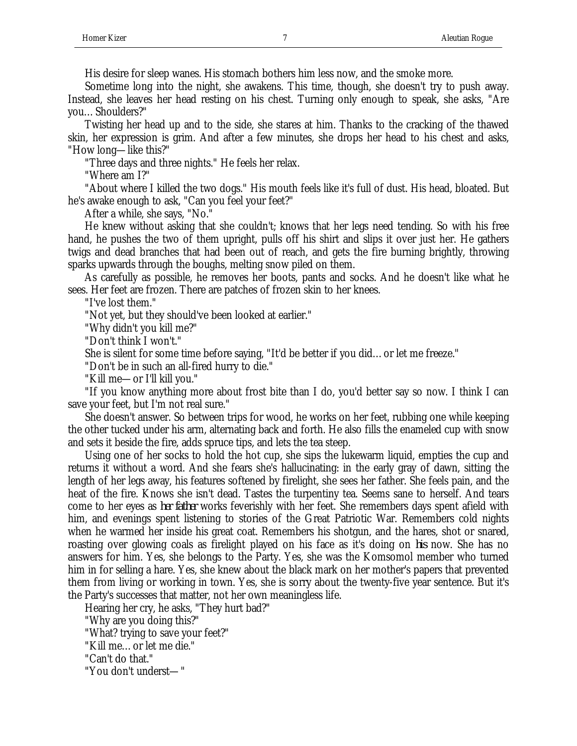His desire for sleep wanes. His stomach bothers him less now, and the smoke more.

Sometime long into the night, she awakens. This time, though, she doesn't try to push away. Instead, she leaves her head resting on his chest. Turning only enough to speak, she asks, "Are you…Shoulders?"

Twisting her head up and to the side, she stares at him. Thanks to the cracking of the thawed skin, her expression is grim. And after a few minutes, she drops her head to his chest and asks, "How long—like this?"

"Three days and three nights." He feels her relax.

"Where am I?"

"About where I killed the two dogs." His mouth feels like it's full of dust. His head, bloated. But he's awake enough to ask, "Can you feel your feet?"

After a while, she says, "No."

He knew without asking that she couldn't; knows that her legs need tending. So with his free hand, he pushes the two of them upright, pulls off his shirt and slips it over just her. He gathers twigs and dead branches that had been out of reach, and gets the fire burning brightly, throwing sparks upwards through the boughs, melting snow piled on them.

As carefully as possible, he removes her boots, pants and socks. And he doesn't like what he sees. Her feet are frozen. There are patches of frozen skin to her knees.

"I've lost them."

"Not yet, but they should've been looked at earlier."

"Why didn't you kill me?"

"Don't think I won't."

She is silent for some time before saying, "It'd be better if you did…or let me freeze."

"Don't be in such an all-fired hurry to die."

"Kill me—or I'll kill you."

"If you know anything more about frost bite than I do, you'd better say so now. I think I can save your feet, but I'm not real sure."

She doesn't answer. So between trips for wood, he works on her feet, rubbing one while keeping the other tucked under his arm, alternating back and forth. He also fills the enameled cup with snow and sets it beside the fire, adds spruce tips, and lets the tea steep.

Using one of her socks to hold the hot cup, she sips the lukewarm liquid, empties the cup and returns it without a word. And she fears she's hallucinating: in the early gray of dawn, sitting the length of her legs away, his features softened by firelight, she sees her father. She feels pain, and the heat of the fire. Knows she isn't dead. Tastes the turpentiny tea. Seems sane to herself. And tears come to her eyes as *her father* works feverishly with her feet. She remembers days spent afield with him, and evenings spent listening to stories of the Great Patriotic War. Remembers cold nights when he warmed her inside his great coat. Remembers his shotgun, and the hares, shot or snared, roasting over glowing coals as firelight played on his face as it's doing on *his* now. She has no answers for him. Yes, she belongs to the Party. Yes, she was the Komsomol member who turned him in for selling a hare. Yes, she knew about the black mark on her mother's papers that prevented them from living or working in town. Yes, she is sorry about the twenty-five year sentence. But it's the Party's successes that matter, not her own meaningless life.

Hearing her cry, he asks, "They hurt bad?"

"Why are you doing this?"

"What? trying to save your feet?"

"Kill me…or let me die."

"Can't do that."

"You don't underst—"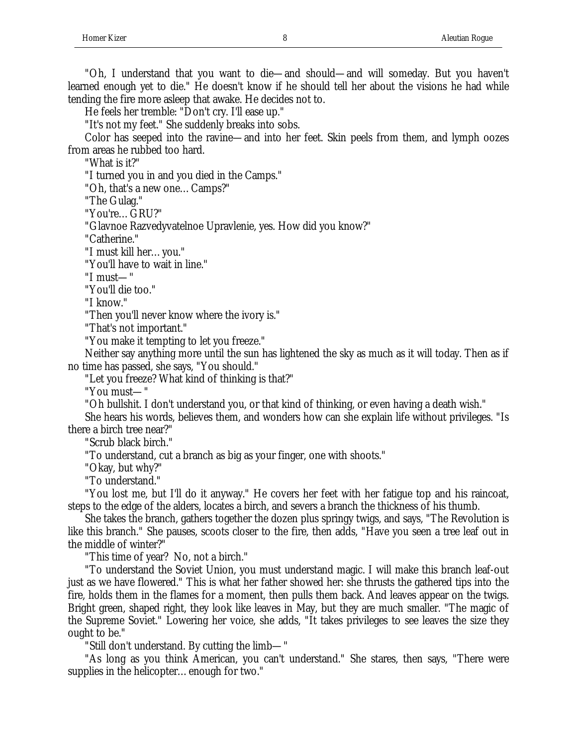He feels her tremble: "Don't cry. I'll ease up."

"It's not my feet." She suddenly breaks into sobs.

Color has seeped into the ravine—and into her feet. Skin peels from them, and lymph oozes from areas he rubbed too hard.

"What is it?"

"I turned you in and you died in the Camps."

"Oh, that's a new one…Camps?"

"The Gulag."

"You're…GRU?"

"Glavnoe Razvedyvatelnoe Upravlenie, yes. How did you know?"

"Catherine."

"I must kill her…you."

"You'll have to wait in line."

"I must—"

"You'll die too."

"I know."

"Then you'll never know where the ivory is."

"That's not important."

"You make it tempting to let you freeze."

Neither say anything more until the sun has lightened the sky as much as it will today. Then as if no time has passed, she says, "You should."

"Let you freeze? What kind of thinking is that?"

"You must—"

"Oh bullshit. I don't understand you, or that kind of thinking, or even having a death wish."

She hears his words, believes them, and wonders how can she explain life without privileges. "Is there a birch tree near?"

"Scrub black birch."

"To understand, cut a branch as big as your finger, one with shoots."

"Okay, but why?"

"To understand."

"You lost me, but I'll do it anyway." He covers her feet with her fatigue top and his raincoat, steps to the edge of the alders, locates a birch, and severs a branch the thickness of his thumb.

She takes the branch, gathers together the dozen plus springy twigs, and says, "The Revolution is like this branch." She pauses, scoots closer to the fire, then adds, "Have you seen a tree leaf out in the middle of winter?"

"This time of year? No, not a birch."

"To understand the Soviet Union, you must understand magic. I will make this branch leaf-out just as we have flowered." This is what her father showed her: she thrusts the gathered tips into the fire, holds them in the flames for a moment, then pulls them back. And leaves appear on the twigs. Bright green, shaped right, they look like leaves in May, but they are much smaller. "The magic of the Supreme Soviet." Lowering her voice, she adds, "It takes privileges to see leaves the size they ought to be."

"Still don't understand. By cutting the limb—"

"As long as you think American, you can't understand." She stares, then says, "There were supplies in the helicopter…enough for two."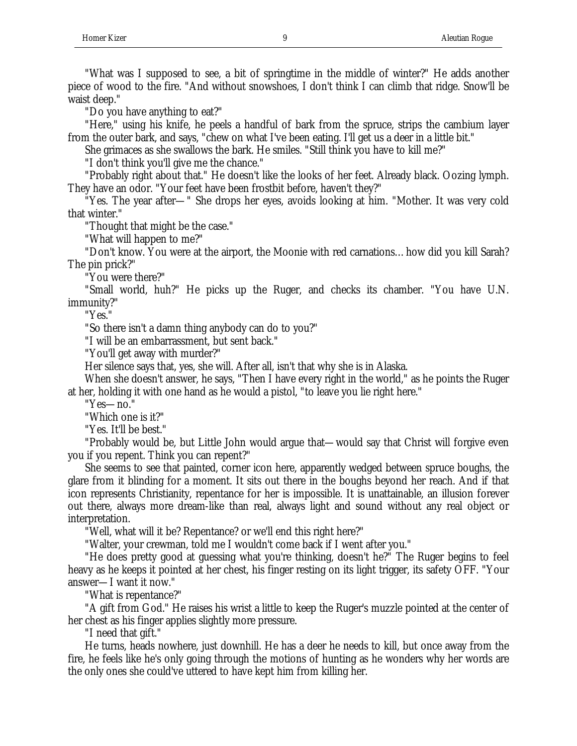"What was I supposed to see, a bit of springtime in the middle of winter?" He adds another piece of wood to the fire. "And without snowshoes, I don't think I can climb that ridge. Snow'll be waist deep."

"Do you have anything to eat?"

"Here," using his knife, he peels a handful of bark from the spruce, strips the cambium layer from the outer bark, and says, "chew on what I've been eating. I'll get us a deer in a little bit."

She grimaces as she swallows the bark. He smiles. "Still think you have to kill me?"

"I don't think you'll give me the chance."

"Probably right about that." He doesn't like the looks of her feet. Already black. Oozing lymph. They have an odor. "Your feet have been frostbit before, haven't they?"

"Yes. The year after—" She drops her eyes, avoids looking at him. "Mother. It was very cold that winter."

"Thought that might be the case."

"What will happen to me?"

"Don't know. You were at the airport, the Moonie with red carnations…how did you kill Sarah? The pin prick?"

"You were there?"

"Small world, huh?" He picks up the Ruger, and checks its chamber. "You have U.N. immunity?"

"Yes."

"So there isn't a damn thing anybody can do to you?"

"I will be an embarrassment, but sent back."

"You'll get away with murder?"

Her silence says that, yes, she will. After all, isn't that why she is in Alaska.

When she doesn't answer, he says, "Then I have every right in the world," as he points the Ruger at her, holding it with one hand as he would a pistol, "to leave you lie right here."

"Yes—no."

"Which one is it?"

"Yes. It'll be best."

"Probably would be, but Little John would argue that—would say that Christ will forgive even you if you repent. Think you can repent?"

She seems to see that painted, corner icon here, apparently wedged between spruce boughs, the glare from it blinding for a moment. It sits out there in the boughs beyond her reach. And if that icon represents Christianity, repentance for her is impossible. It is unattainable, an illusion forever out there, always more dream-like than real, always light and sound without any real object or interpretation.

"Well, what will it be? Repentance? or we'll end this right here?"

"Walter, your crewman, told me I wouldn't come back if I went after you."

"He does pretty good at guessing what you're thinking, doesn't he?" The Ruger begins to feel heavy as he keeps it pointed at her chest, his finger resting on its light trigger, its safety OFF. "Your answer—I want it now."

"What is repentance?"

"A gift from God." He raises his wrist a little to keep the Ruger's muzzle pointed at the center of her chest as his finger applies slightly more pressure.

"I need that gift."

He turns, heads nowhere, just downhill. He has a deer he needs to kill, but once away from the fire, he feels like he's only going through the motions of hunting as he wonders why her words are the only ones she could've uttered to have kept him from killing her.